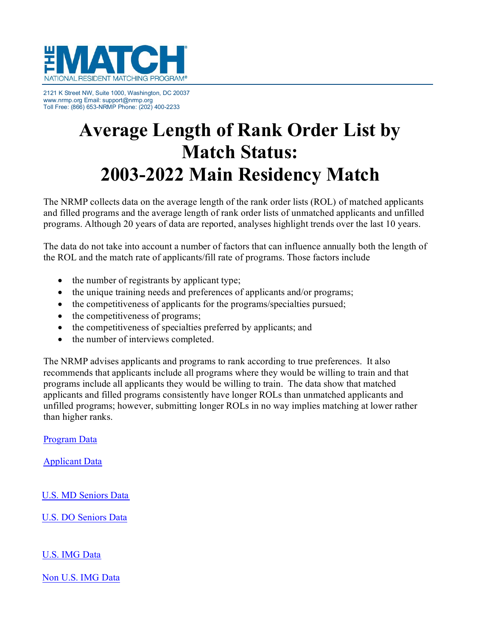

2121 K Street NW, Suite 1000, Washington, DC 20037 [www.nrmp.org E](http://www.nrmp.org/)mail[: support@nrmp.org](mailto:support@nrmp.org) Toll Free: (866) 653-NRMP Phone: (202) 400-2233

# **Average Length of Rank Order List by Match Status: 2003-2022 Main Residency Match**

The NRMP collects data on the average length of the rank order lists (ROL) of matched applicants and filled programs and the average length of rank order lists of unmatched applicants and unfilled programs. Although 20 years of data are reported, analyses highlight trends over the last 10 years.

The data do not take into account a number of factors that can influence annually both the length of the ROL and the match rate of applicants/fill rate of programs. Those factors include

- the number of registrants by applicant type;
- the unique training needs and preferences of applicants and/or programs;
- the competitiveness of applicants for the programs/specialties pursued;
- the competitiveness of programs;
- the competitiveness of specialties preferred by applicants; and
- the number of interviews completed.

The [NRMP advises a](#page-1-0)pplicants and programs to rank according to true preferences. It also recommends that applicants include all programs where they would be willing to train and that programs include all applicants they would be willing to train. The data show that matched applicants and filled programs consistently have longer ROLs than unmatched applicants and unfilled programs; however, submitting longer ROLs in no way implies matching at lower rather than higher ranks.

[Program Data](#page-1-0)

[Applicant Data](#page-2-0)

[U.S. MD Seniors Data](#page-3-0)

[U.S. DO Seniors Data](#page-3-1)

[U.S. IMG Data](#page-5-0)

[Non U.S. IMG Data](#page-6-0)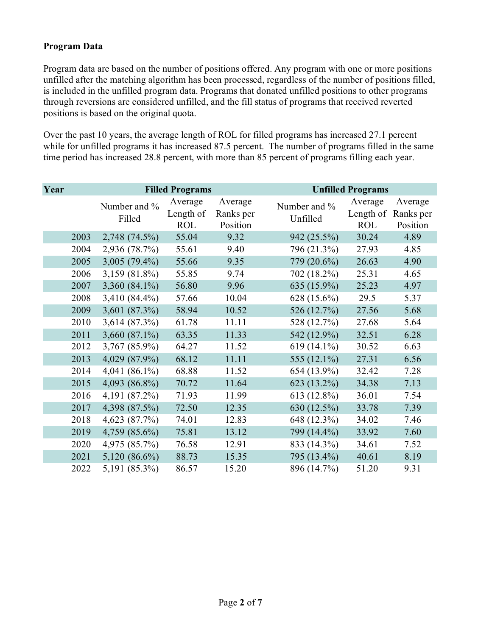## <span id="page-1-0"></span>**Program Data**

Program data are based on the number of positions offered. Any program with one or more positions unfilled after the matching algorithm has been processed, regardless of the number of positions filled, is included in the unfilled program data. Programs that donated unfilled positions to other programs through reversions are considered unfilled, and the fill status of programs that received reverted positions is based on the original quota.

Over the past 10 years, the average length of ROL for filled programs has increased 27.1 percent while for unfilled programs it has increased 87.5 percent. The number of programs filled in the same time period has increased 28.8 percent, with more than 85 percent of programs filling each year.

| Year |      | <b>Filled Programs</b> |                                    | <b>Unfilled Programs</b>         |                          |                                    |                                  |
|------|------|------------------------|------------------------------------|----------------------------------|--------------------------|------------------------------------|----------------------------------|
|      |      | Number and %<br>Filled | Average<br>Length of<br><b>ROL</b> | Average<br>Ranks per<br>Position | Number and %<br>Unfilled | Average<br>Length of<br><b>ROL</b> | Average<br>Ranks per<br>Position |
|      | 2003 | 2,748 (74.5%)          | 55.04                              | 9.32                             | 942 (25.5%)              | 30.24                              | 4.89                             |
|      | 2004 | 2,936 (78.7%)          | 55.61                              | 9.40                             | 796 (21.3%)              | 27.93                              | 4.85                             |
|      | 2005 | $3,005(79.4\%)$        | 55.66                              | 9.35                             | 779 (20.6%)              | 26.63                              | 4.90                             |
|      | 2006 | 3,159 (81.8%)          | 55.85                              | 9.74                             | 702 (18.2%)              | 25.31                              | 4.65                             |
|      | 2007 | 3,360 (84.1%)          | 56.80                              | 9.96                             | 635 (15.9%)              | 25.23                              | 4.97                             |
|      | 2008 | 3,410 (84.4%)          | 57.66                              | 10.04                            | 628 (15.6%)              | 29.5                               | 5.37                             |
|      | 2009 | 3,601 (87.3%)          | 58.94                              | 10.52                            | 526 (12.7%)              | 27.56                              | 5.68                             |
|      | 2010 | 3,614 (87.3%)          | 61.78                              | 11.11                            | 528 (12.7%)              | 27.68                              | 5.64                             |
|      | 2011 | 3,660 (87.1%)          | 63.35                              | 11.33                            | 542 (12.9%)              | 32.51                              | 6.28                             |
|      | 2012 | 3,767 (85.9%)          | 64.27                              | 11.52                            | 619 (14.1%)              | 30.52                              | 6.63                             |
|      | 2013 | 4,029 (87.9%)          | 68.12                              | 11.11                            | 555 (12.1%)              | 27.31                              | 6.56                             |
|      | 2014 | 4,041 $(86.1\%)$       | 68.88                              | 11.52                            | 654 (13.9%)              | 32.42                              | 7.28                             |
|      | 2015 | 4,093 (86.8%)          | 70.72                              | 11.64                            | 623 (13.2%)              | 34.38                              | 7.13                             |
|      | 2016 | 4,191 (87.2%)          | 71.93                              | 11.99                            | 613 (12.8%)              | 36.01                              | 7.54                             |
|      | 2017 | 4,398 (87.5%)          | 72.50                              | 12.35                            | 630 (12.5%)              | 33.78                              | 7.39                             |
|      | 2018 | 4,623 (87.7%)          | 74.01                              | 12.83                            | 648 (12.3%)              | 34.02                              | 7.46                             |
|      | 2019 | 4,759 (85.6%)          | 75.81                              | 13.12                            | 799 (14.4%)              | 33.92                              | 7.60                             |
|      | 2020 | 4,975 (85.7%)          | 76.58                              | 12.91                            | 833 (14.3%)              | 34.61                              | 7.52                             |
|      | 2021 | 5,120 (86.6%)          | 88.73                              | 15.35                            | 795 (13.4%)              | 40.61                              | 8.19                             |
|      | 2022 | 5,191 (85.3%)          | 86.57                              | 15.20                            | 896 (14.7%)              | 51.20                              | 9.31                             |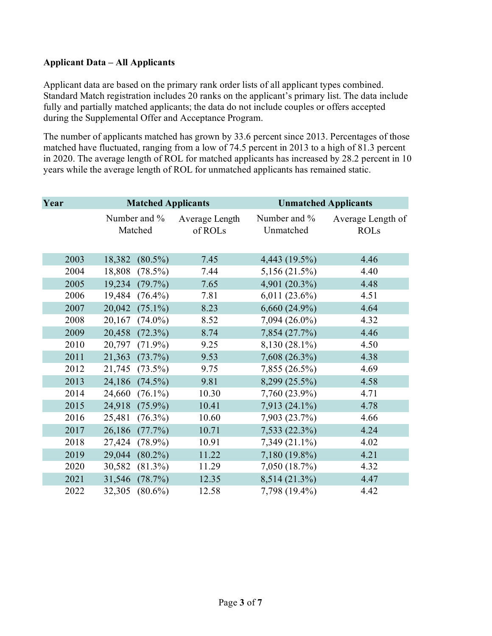### <span id="page-2-0"></span>**Applicant Data – All Applicants**

Applicant data are based on the primary rank order lists of all applicant types combined. Standard Match registration includes 20 ranks on the applicant's primary list. The data include fully and partially matched applicants; the data do not include couples or offers accepted during the Supplemental Offer and Acceptance Program.

The number of applicants matched has grown by 33.6 percent since 2013. Percentages of those matched have fluctuated, ranging from a low of 74.5 percent in 2013 to a high of 81.3 percent in 2020. The average length of ROL for matched applicants has increased by 28.2 percent in 10 years while the average length of ROL for unmatched applicants has remained static.

| Year | <b>Matched Applicants</b> |                           | <b>Unmatched Applicants</b> |                                  |
|------|---------------------------|---------------------------|-----------------------------|----------------------------------|
|      | Number and %<br>Matched   | Average Length<br>of ROLs | Number and %<br>Unmatched   | Average Length of<br><b>ROLs</b> |
| 2003 | $(80.5\%)$<br>18,382      | 7.45                      | 4,443 (19.5%)               | 4.46                             |
| 2004 | $(78.5\%)$<br>18,808      | 7.44                      | 5,156 (21.5%)               | 4.40                             |
| 2005 | 19,234<br>$(79.7\%)$      | 7.65                      | 4,901 (20.3%)               | 4.48                             |
| 2006 | 19,484<br>$(76.4\%)$      | 7.81                      | $6,011(23.6\%)$             | 4.51                             |
| 2007 | 20,042<br>$(75.1\%)$      | 8.23                      | $6,660(24.9\%)$             | 4.64                             |
| 2008 | $(74.0\%)$<br>20,167      | 8.52                      | 7,094 (26.0%)               | 4.32                             |
| 2009 | 20,458<br>$(72.3\%)$      | 8.74                      | 7,854 (27.7%)               | 4.46                             |
| 2010 | 20,797<br>$(71.9\%)$      | 9.25                      | 8,130 (28.1%)               | 4.50                             |
| 2011 | 21,363<br>(73.7%)         | 9.53                      | 7,608 (26.3%)               | 4.38                             |
| 2012 | 21,745<br>$(73.5\%)$      | 9.75                      | 7,855 (26.5%)               | 4.69                             |
| 2013 | 24,186<br>$(74.5\%)$      | 9.81                      | 8,299 (25.5%)               | 4.58                             |
| 2014 | 24,660<br>$(76.1\%)$      | 10.30                     | 7,760 (23.9%)               | 4.71                             |
| 2015 | 24,918<br>$(75.9\%)$      | 10.41                     | 7,913 (24.1%)               | 4.78                             |
| 2016 | 25,481<br>$(76.3\%)$      | 10.60                     | 7,903 (23.7%)               | 4.66                             |
| 2017 | 26,186<br>(77.7%)         | 10.71                     | 7,533 (22.3%)               | 4.24                             |
| 2018 | 27,424<br>$(78.9\%)$      | 10.91                     | 7,349 (21.1%)               | 4.02                             |
| 2019 | $(80.2\%)$<br>29,044      | 11.22                     | 7,180 (19.8%)               | 4.21                             |
| 2020 | 30,582<br>$(81.3\%)$      | 11.29                     | 7,050 (18.7%)               | 4.32                             |
| 2021 | (78.7%)<br>31,546         | 12.35                     | 8,514 (21.3%)               | 4.47                             |
| 2022 | 32,305<br>$(80.6\%)$      | 12.58                     | 7,798 (19.4%)               | 4.42                             |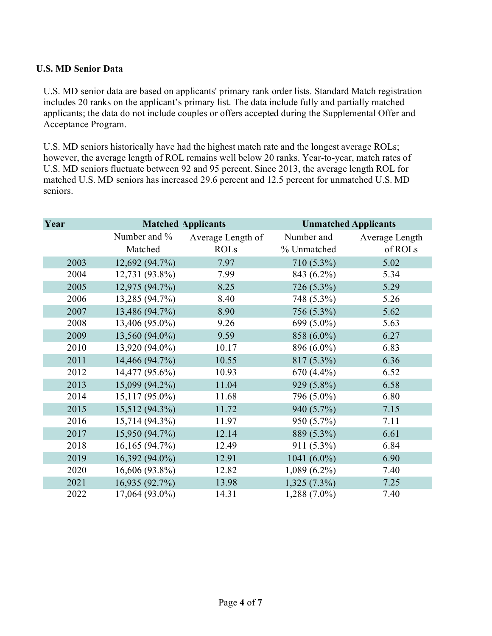### <span id="page-3-0"></span>**U.S. MD Senior Data**

U.S. MD senior data are based on applicants' primary rank order lists. Standard Match registration includes 20 ranks on the applicant's primary list. The data include fully and partially matched applicants; the data do not include couples or offers accepted during the Supplemental Offer and Acceptance Program.

U.S. MD seniors historically have had the highest match rate and the longest average ROLs; however, the average length of ROL remains well below 20 ranks. Year-to-year, match rates of U.S. MD seniors fluctuate between 92 and 95 percent. Since 2013, the average length ROL for matched U.S. MD seniors has increased 29.6 percent and 12.5 percent for unmatched U.S. MD seniors.

<span id="page-3-1"></span>

| Year |                  | <b>Matched Applicants</b> | <b>Unmatched Applicants</b> |                |
|------|------------------|---------------------------|-----------------------------|----------------|
|      | Number and %     | Average Length of         | Number and                  | Average Length |
|      | Matched          | <b>ROLs</b>               | % Unmatched                 | of ROLs        |
| 2003 | 12,692 (94.7%)   | 7.97                      | 710 (5.3%)                  | 5.02           |
| 2004 | 12,731 (93.8%)   | 7.99                      | 843 (6.2%)                  | 5.34           |
| 2005 | 12,975 (94.7%)   | 8.25                      | 726 (5.3%)                  | 5.29           |
| 2006 | 13,285 (94.7%)   | 8.40                      | 748 (5.3%)                  | 5.26           |
| 2007 | 13,486 (94.7%)   | 8.90                      | 756 (5.3%)                  | 5.62           |
| 2008 | 13,406 (95.0%)   | 9.26                      | 699 (5.0%)                  | 5.63           |
| 2009 | 13,560 (94.0%)   | 9.59                      | 858 (6.0%)                  | 6.27           |
| 2010 | 13,920 (94.0%)   | 10.17                     | 896 (6.0%)                  | 6.83           |
| 2011 | 14,466 (94.7%)   | 10.55                     | 817 (5.3%)                  | 6.36           |
| 2012 | 14,477 (95.6%)   | 10.93                     | 670 (4.4%)                  | 6.52           |
| 2013 | 15,099 (94.2%)   | 11.04                     | 929 (5.8%)                  | 6.58           |
| 2014 | $15,117(95.0\%)$ | 11.68                     | 796 (5.0%)                  | 6.80           |
| 2015 | 15,512 (94.3%)   | 11.72                     | 940 (5.7%)                  | 7.15           |
| 2016 | 15,714 (94.3%)   | 11.97                     | 950 (5.7%)                  | 7.11           |
| 2017 | 15,950 (94.7%)   | 12.14                     | 889 (5.3%)                  | 6.61           |
| 2018 | 16,165(94.7%)    | 12.49                     | $911(5.3\%)$                | 6.84           |
| 2019 | 16,392 (94.0%)   | 12.91                     | 1041 $(6.0\%)$              | 6.90           |
| 2020 | 16,606 (93.8%)   | 12.82                     | $1,089(6.2\%)$              | 7.40           |
| 2021 | 16,935 (92.7%)   | 13.98                     | $1,325(7.3\%)$              | 7.25           |
| 2022 | 17,064 (93.0%)   | 14.31                     | 1,288 (7.0%)                | 7.40           |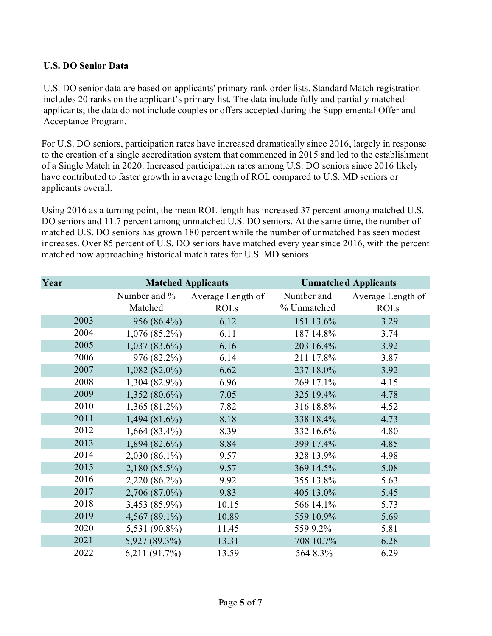## **U.S. DO Senior Data**

U.S. DO senior data are based on applicants' primary rank order lists. Standard Match registration includes 20 ranks on the applicant's primary list. The data include fully and partially matched applicants; the data do not include couples or offers accepted during the Supplemental Offer and Acceptance Program.

For U.S. DO seniors, participation rates have increased dramatically since 2016, largely in response to the creation of a single accreditation system that commenced in 2015 and led to the establishment of a Single Match in 2020. Increased participation rates among U.S. DO seniors since 2016 likely have contributed to faster growth in average length of ROL compared to U.S. MD seniors or applicants overall.

Using 2016 as a turning point, the mean ROL length has increased 37 percent among matched U.S. DO seniors and 11.7 percent among unmatched U.S. DO seniors. At the same time, the number of matched U.S. DO seniors has grown 180 percent while the number of unmatched has seen modest increases. Over 85 percent of U.S. DO seniors have matched every year since 2016, with the percent matched now approaching historical match rates for U.S. MD seniors.

| Year | <b>Matched Applicants</b> |                                  | <b>Unmatched Applicants</b> |                                  |
|------|---------------------------|----------------------------------|-----------------------------|----------------------------------|
|      | Number and %<br>Matched   | Average Length of<br><b>ROLs</b> | Number and<br>% Unmatched   | Average Length of<br><b>ROLs</b> |
| 2003 | 956 (86.4%)               | 6.12                             | 151 13.6%                   | 3.29                             |
| 2004 | $1,076(85.2\%)$           | 6.11                             | 187 14.8%                   | 3.74                             |
| 2005 | $1,037(83.6\%)$           | 6.16                             | 203 16.4%                   | 3.92                             |
| 2006 | 976 (82.2%)               | 6.14                             | 211 17.8%                   | 3.87                             |
| 2007 | $1,082(82.0\%)$           | 6.62                             | 237 18.0%                   | 3.92                             |
| 2008 | 1,304 (82.9%)             | 6.96                             | 269 17.1%                   | 4.15                             |
| 2009 | $1,352(80.6\%)$           | 7.05                             | 325 19.4%                   | 4.78                             |
| 2010 | $1,365(81.2\%)$           | 7.82                             | 316 18.8%                   | 4.52                             |
| 2011 | $1,494(81.6\%)$           | 8.18                             | 338 18.4%                   | 4.73                             |
| 2012 | $1,664(83.4\%)$           | 8.39                             | 332 16.6%                   | 4.80                             |
| 2013 | $1,894(82.6\%)$           | 8.84                             | 399 17.4%                   | 4.85                             |
| 2014 | 2,030 (86.1%)             | 9.57                             | 328 13.9%                   | 4.98                             |
| 2015 | 2,180 (85.5%)             | 9.57                             | 369 14.5%                   | 5.08                             |
| 2016 | 2,220 (86.2%)             | 9.92                             | 355 13.8%                   | 5.63                             |
| 2017 | 2,706 (87.0%)             | 9.83                             | 405 13.0%                   | 5.45                             |
| 2018 | 3,453 (85.9%)             | 10.15                            | 566 14.1%                   | 5.73                             |
| 2019 | 4,567 (89.1%)             | 10.89                            | 559 10.9%                   | 5.69                             |
| 2020 | 5,531 (90.8%)             | 11.45                            | 559 9.2%                    | 5.81                             |
| 2021 | 5,927 (89.3%)             | 13.31                            | 708 10.7%                   | 6.28                             |
| 2022 | 6,211(91.7%)              | 13.59                            | 564 8.3%                    | 6.29                             |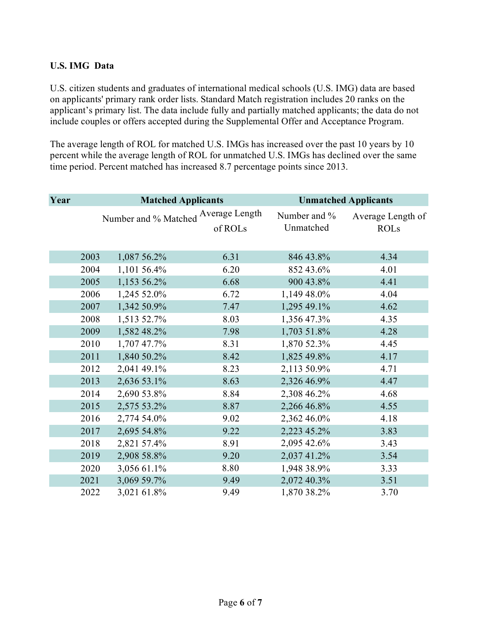## <span id="page-5-0"></span>**U.S. IMG Data**

U.S. citizen students and graduates of international medical schools (U.S. IMG) data are based on applicants' primary rank order lists. Standard Match registration includes 20 ranks on the applicant's primary list. The data include fully and partially matched applicants; the data do not include couples or offers accepted during the Supplemental Offer and Acceptance Program.

The average length of ROL for matched U.S. IMGs has increased over the past 10 years by 10 percent while the average length of ROL for unmatched U.S. IMGs has declined over the same time period. Percent matched has increased 8.7 percentage points since 2013.

| Year | <b>Matched Applicants</b>           |             |         | <b>Unmatched Applicants</b> |                   |  |
|------|-------------------------------------|-------------|---------|-----------------------------|-------------------|--|
|      | Number and % Matched Average Length |             |         | Number and %                | Average Length of |  |
|      |                                     |             | of ROLs | Unmatched                   | <b>ROLs</b>       |  |
|      |                                     |             |         |                             |                   |  |
|      | 2003                                | 1,087 56.2% | 6.31    | 846 43.8%                   | 4.34              |  |
|      | 2004                                | 1,101 56.4% | 6.20    | 852 43.6%                   | 4.01              |  |
|      | 2005                                | 1,153 56.2% | 6.68    | 900 43.8%                   | 4.41              |  |
|      | 2006                                | 1,245 52.0% | 6.72    | 1,149 48.0%                 | 4.04              |  |
|      | 2007                                | 1,342 50.9% | 7.47    | 1,295 49.1%                 | 4.62              |  |
|      | 2008                                | 1,513 52.7% | 8.03    | 1,356 47.3%                 | 4.35              |  |
|      | 2009                                | 1,582 48.2% | 7.98    | 1,703 51.8%                 | 4.28              |  |
|      | 2010                                | 1,707 47.7% | 8.31    | 1,870 52.3%                 | 4.45              |  |
|      | 2011                                | 1,840 50.2% | 8.42    | 1,825 49.8%                 | 4.17              |  |
|      | 2012                                | 2,041 49.1% | 8.23    | 2,113 50.9%                 | 4.71              |  |
|      | 2013                                | 2,636 53.1% | 8.63    | 2,326 46.9%                 | 4.47              |  |
|      | 2014                                | 2,690 53.8% | 8.84    | 2,308 46.2%                 | 4.68              |  |
|      | 2015                                | 2,575 53.2% | 8.87    | 2,266 46.8%                 | 4.55              |  |
|      | 2016                                | 2,774 54.0% | 9.02    | 2,362 46.0%                 | 4.18              |  |
|      | 2017                                | 2,695 54.8% | 9.22    | 2,223 45.2%                 | 3.83              |  |
|      | 2018                                | 2,821 57.4% | 8.91    | 2,095 42.6%                 | 3.43              |  |
|      | 2019                                | 2,908 58.8% | 9.20    | 2,037 41.2%                 | 3.54              |  |
|      | 2020                                | 3,056 61.1% | 8.80    | 1,948 38.9%                 | 3.33              |  |
|      | 2021                                | 3,069 59.7% | 9.49    | 2,072 40.3%                 | 3.51              |  |
|      | 2022                                | 3,021 61.8% | 9.49    | 1,870 38.2%                 | 3.70              |  |